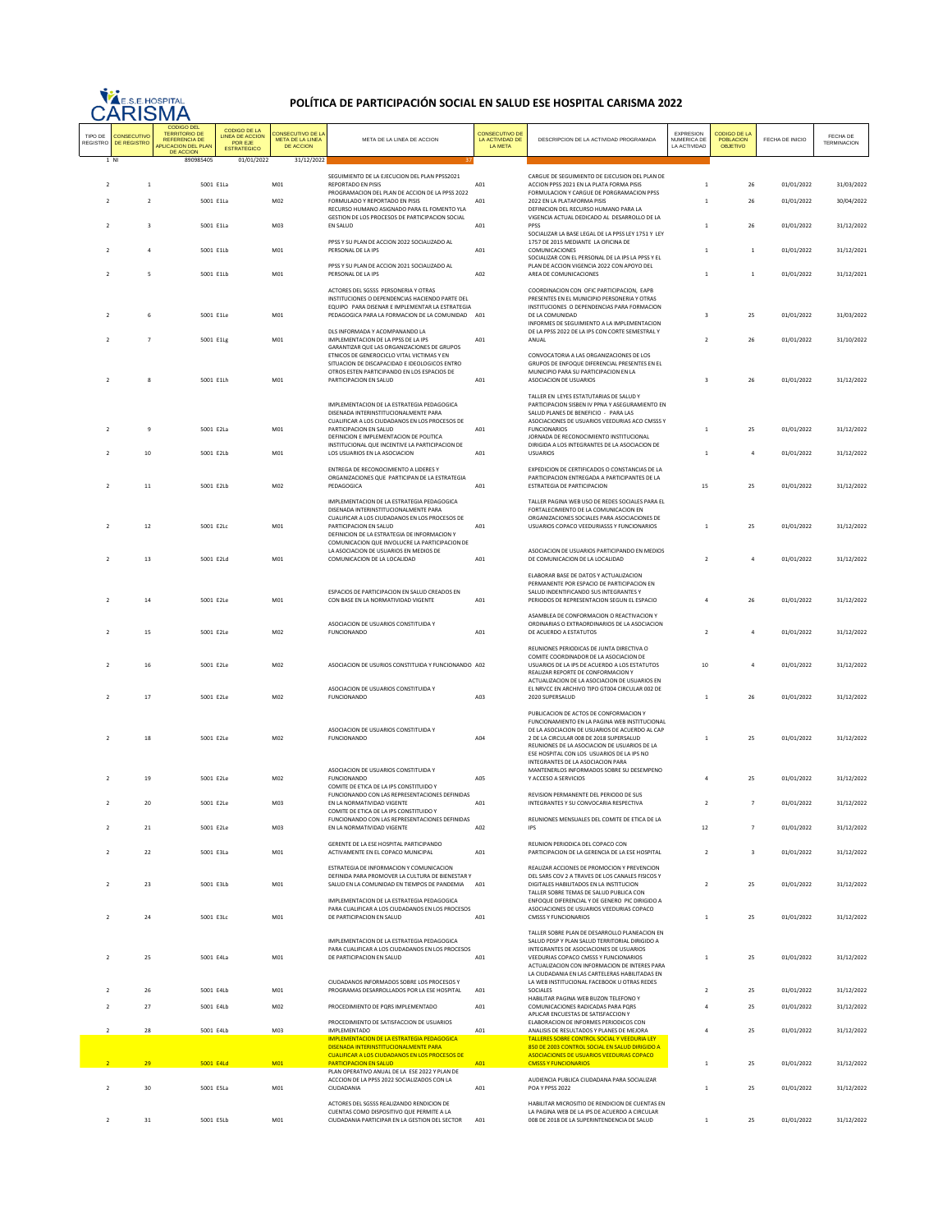

## **POLÍTICA DE PARTICIPACIÓN SOCIAL EN SALUD ESE HOSPITAL CARISMA 2022**

| TIPO DE<br>REGISTRO      | CONSECUTIVO<br><b>DE REGISTRO</b> | <b>CODIGO DEL</b><br><b>TERRITORIO DE</b><br><b>REFERENCIA DE</b><br>APLICACION DEL PLAN<br><b>DE ACCION</b> | CODIGO DE LA<br><b>LINEA DE ACCION</b><br>POR EJE<br><b>ESTRATEGICO</b> | CONSECUTIVO DE LA<br>META DE LA LINEA<br>DE ACCION | META DE LA LINEA DE ACCION                                                                                              | <b>CONSECUTIVO DE</b><br>LA ACTIVIDAD DE LA META | DESCRIPCION DE LA ACTIVIDAD PROGRAMADA                                                                                                            | EXPRESION<br>NUMERICA DE<br>LA ACTIVIDAD | CODIGO DE LA<br><b>POBLACION</b><br><b>OBJETIVO</b> | FECHA DE INICIO | FECHA DE<br><b>TERMINACION</b> |
|--------------------------|-----------------------------------|--------------------------------------------------------------------------------------------------------------|-------------------------------------------------------------------------|----------------------------------------------------|-------------------------------------------------------------------------------------------------------------------------|--------------------------------------------------|---------------------------------------------------------------------------------------------------------------------------------------------------|------------------------------------------|-----------------------------------------------------|-----------------|--------------------------------|
| 1 NI                     |                                   | 890985405                                                                                                    | 01/01/2022                                                              | 31/12/2022                                         |                                                                                                                         |                                                  |                                                                                                                                                   |                                          |                                                     |                 |                                |
| $\overline{2}$           | $\,$ 1 $\,$                       | 5001 E1La                                                                                                    |                                                                         | M01                                                | SEGUIMIENTO DE LA EJECUCIÓN DEL PLAN PPSS2021<br>REPORTADO EN PISIS                                                     | A01                                              | CARGUE DE SEGUIMIENTO DE EJECUSION DEL PLAN DE<br>ACCION PPSS 2021 EN LA PLATA FORMA PISIS                                                        | $\overline{1}$                           | 26                                                  | 01/01/2022      | 31/03/2022                     |
|                          | $\overline{2}$                    |                                                                                                              |                                                                         |                                                    | PROGRAMACION DEL PLAN DE ACCION DE LA PPSS 2022<br>FORMULADO Y REPORTADO EN PISIS                                       |                                                  | FORMULACION Y CARGUE DE PORGRAMACION PPSS<br>2022 EN LA PLATAFORMA PISIS                                                                          | $\mathbf{1}$                             |                                                     |                 |                                |
|                          |                                   | 5001 E1La                                                                                                    |                                                                         | M02                                                | RECURSO HUMANO ASIGNADO PARA EL FOMENTO YLA                                                                             | A01                                              | DEFINICION DEL RECURSO HUMANO PARA LA                                                                                                             |                                          | 26                                                  | 01/01/2022      | 30/04/2022                     |
|                          | $\overline{\mathbf{3}}$           | 5001 E1La                                                                                                    |                                                                         | M03                                                | GESTION DE LOS PROCESOS DE PARTICIPACION SOCIAL<br>EN SALUD<br>PPSS Y SU PLAN DE ACCION 2022 SOCIALIZADO AL             | A01                                              | VIGENCIA ACTUAL DEDICADO AL DESARROLLO DE LA<br>PPSS<br>SOCIALIZAR LA BASE LEGAL DE LA PPSS LEY 1751 Y LEY<br>1757 DE 2015 MEDIANTE LA OFICINA DE | $\mathbf{1}$                             | 26                                                  | 01/01/2022      | 31/12/2022                     |
|                          | $\ddot{a}$                        | 5001 E1Lb                                                                                                    |                                                                         | M01                                                | PERSONAL DE LA IPS                                                                                                      | A01                                              | COMUNICACIONES<br>SOCIALIZAR CON EL PERSONAL DE LA IPS LA PPSS Y EL                                                                               | $\overline{1}$                           | $\mathbf{1}$                                        | 01/01/2022      | 31/12/2021                     |
| $\overline{\phantom{a}}$ | 5                                 | 5001 E1Lb                                                                                                    |                                                                         | M <sub>01</sub>                                    | PPSS Y SU PLAN DE ACCION 2021 SOCIALIZADO AL<br>PERSONAL DE LA IPS                                                      | A02                                              | PLAN DE ACCION VIGENCIA 2022 CON APOYO DEL<br>AREA DE COMUNICACIONES                                                                              | $\mathbf{1}$                             | $\mathbf{1}$                                        | 01/01/2022      | 31/12/2021                     |
|                          |                                   |                                                                                                              |                                                                         |                                                    | ACTORES DEL SGSSS PERSONERIA Y OTRAS                                                                                    |                                                  | COORDINACION CON OFIC PARTICIPACION, EAPB                                                                                                         |                                          |                                                     |                 |                                |
|                          |                                   |                                                                                                              |                                                                         |                                                    | INSTITUCIONES O DEPENDENCIAS HACIENDO PARTE DEL<br>FOUIPO PARA DISENAR E IMPI EMENTAR LA ESTRATEGIA                     |                                                  | PRESENTES EN EL MUNICIPIO PERSONERIA Y OTRAS<br>INSTITUCIONES O DEPENDENCIAS PARA FORMACION                                                       |                                          |                                                     |                 |                                |
|                          | 6                                 | 5001 E1Le                                                                                                    |                                                                         | M01                                                | PEDAGOGICA PARA LA FORMACION DE LA COMUNIDAD A01                                                                        |                                                  | DE LA COMUNIDAD<br>INFORMES DE SEGUIMIENTO A LA IMPLEMENTACION                                                                                    | 3                                        | 25                                                  | 01/01/2022      | 31/03/2022                     |
|                          | $\overline{7}$                    | 5001 F1Lg                                                                                                    |                                                                         | M <sub>01</sub>                                    | DLS INFORMADA Y ACOMPANANDO LA<br>IMPLEMENTACION DE LA PPSS DE LA IPS                                                   | A01                                              | DE LA PPSS 2022 DE LA IPS CON CORTE SEMESTRAL Y<br>ANUAL                                                                                          | $\overline{2}$                           | 26                                                  | 01/01/2022      | 31/10/2022                     |
|                          |                                   |                                                                                                              |                                                                         |                                                    | GARANTIZAR QUE LAS ORGANIZACIONES DE GRUPOS<br>ETNICOS DE GENEROCICLO VITAL VICTIMAS Y EN                               |                                                  | CONVOCATORIA A LAS ORGANIZACIONES DE LOS                                                                                                          |                                          |                                                     |                 |                                |
|                          |                                   |                                                                                                              |                                                                         |                                                    | SITUACION DE DISCAPACIDAD E IDEOLOGICOS ENTRO<br>OTROS ESTEN PARTICIPANDO EN LOS ESPACIOS DE                            |                                                  | GRUPOS DE ENFOQUE DIFERENCIAL PRESENTES EN EL<br>MUNICIPIO PARA SU PARTICIPACION EN LA                                                            |                                          |                                                     |                 |                                |
|                          | 8                                 | 5001 E1Lh                                                                                                    |                                                                         | M01                                                | PARTICIPACION EN SALUD                                                                                                  | A01                                              | ASOCIACION DE USUARIOS                                                                                                                            | 3                                        | 26                                                  | 01/01/2022      | 31/12/2022                     |
|                          |                                   |                                                                                                              |                                                                         |                                                    | IMPLEMENTACION DE LA ESTRATEGIA PEDAGOGICA                                                                              |                                                  | TALLER EN LEYES ESTATUTARIAS DE SALUD Y<br>PARTICIPACION SISBEN IV PPNA Y ASEGURAMIENTO EN                                                        |                                          |                                                     |                 |                                |
|                          |                                   |                                                                                                              |                                                                         |                                                    | DISENADA INTERINSTITUCIONALMENTE PARA<br>CUALIFICAR A LOS CIUDADANOS EN LOS PROCESOS DE                                 |                                                  | SALUD PLANES DE BENEFICIO - PARA LAS<br>ASOCIACIONES DE USUARIOS VEEDURIAS ACO CMSSS Y                                                            |                                          |                                                     |                 |                                |
|                          | 9                                 | 5001 E2La                                                                                                    |                                                                         | M01                                                | PARTICIPACION EN SALUD<br>DEFINICION E IMPLEMENTACION DE POLITICA                                                       | A01                                              | <b>FUNCIONARIOS</b><br>JORNADA DE RECONOCIMIENTO INSTITUCIONAL                                                                                    | $\mathbf{1}$                             | 25                                                  | 01/01/2022      | 31/12/2022                     |
|                          | 10                                | 5001 E2Lb                                                                                                    |                                                                         | M01                                                | INSTITUCIONAL QUE INCENTIVE LA PARTICIPACION DE<br>LOS USUARIOS EN LA ASOCIACIÓN                                        | A01                                              | DIRIGIDA A LOS INTEGRANTES DE LA ASOCIACION DE<br><b>USUARIOS</b>                                                                                 | $\mathbf{1}$                             | $\overline{4}$                                      | 01/01/2022      | 31/12/2022                     |
|                          |                                   |                                                                                                              |                                                                         |                                                    | ENTREGA DE RECONOCIMIENTO A LIDERES Y                                                                                   |                                                  | EXPEDICION DE CERTIFICADOS O CONSTANCIAS DE LA                                                                                                    |                                          |                                                     |                 |                                |
| $\overline{2}$           | $11\,$                            | 5001 E2Lb                                                                                                    |                                                                         | M02                                                | ORGANIZACIONES QUE PARTICIPAN DE LA ESTRATEGIA<br>PEDAGOGICA                                                            | A01                                              | PARTICIPACION ENTREGADA A PARTICIPANTES DE LA<br>ESTRATEGIA DE PARTICIPACION                                                                      | 15                                       | 25                                                  | 01/01/2022      | 31/12/2022                     |
|                          |                                   |                                                                                                              |                                                                         |                                                    | IMPLEMENTACION DE LA ESTRATEGIA PEDAGOGICA                                                                              |                                                  | TALLER PAGINA WEB USO DE REDES SOCIALES PARA EL                                                                                                   |                                          |                                                     |                 |                                |
|                          |                                   |                                                                                                              |                                                                         |                                                    | DISENADA INTERINSTITUCIONALMENTE PARA<br>CUALIFICAR A LOS CIUDADANOS EN LOS PROCESOS DE                                 |                                                  | FORTALECIMIENTO DE LA COMUNICACION EN<br>ORGANIZACIONES SOCIALES PARA ASOCIACIONES DE                                                             |                                          |                                                     |                 |                                |
|                          | 12                                | 5001 E2Lc                                                                                                    |                                                                         | M01                                                | PARTICIPACION EN SALUD<br>DEFINICION DE LA ESTRATEGIA DE INFORMACION Y                                                  | A01                                              | USUARIOS COPACO VEEDURIASSS Y FUNCIONARIOS                                                                                                        | $\mathbf{1}$                             | 25                                                  | 01/01/2022      | 31/12/2022                     |
|                          |                                   |                                                                                                              |                                                                         |                                                    | COMUNICACION QUE INVOLUCRE LA PARTICIPACION DE<br>LA ASOCIACION DE USUARIOS EN MEDIOS DE                                |                                                  | ASOCIACION DE USUARIOS PARTICIPANDO EN MEDIOS                                                                                                     |                                          |                                                     |                 |                                |
| $\overline{\phantom{a}}$ | 13                                | 5001 E2Ld                                                                                                    |                                                                         | M <sub>01</sub>                                    | COMUNICACION DE LA LOCALIDAD                                                                                            | A01                                              | DE COMUNICACION DE LA LOCALIDAD                                                                                                                   | $\overline{2}$                           | $\overline{4}$                                      | 01/01/2022      | 31/12/2022                     |
|                          |                                   |                                                                                                              |                                                                         |                                                    |                                                                                                                         |                                                  | ELABORAR BASE DE DATOS Y ACTUALIZACIÓN<br>PERMANENTE POR ESPACIO DE PARTICIPACION EN                                                              |                                          |                                                     |                 |                                |
|                          | 14                                | 5001 E2Le                                                                                                    |                                                                         | M01                                                | ESPACIOS DE PARTICIPACION EN SALUD CREADOS EN<br>CON BASE EN LA NORMATIVIDAD VIGENTE                                    | A01                                              | SALUD INDENTIFICANDO SUS INTEGRANTES Y<br>PERIODOS DE REPRESENTACION SEGUN EL ESPACIO                                                             | 4                                        | 26                                                  | 01/01/2022      | 31/12/2022                     |
|                          |                                   |                                                                                                              |                                                                         |                                                    |                                                                                                                         |                                                  | ASAMBLEA DE CONFORMACION O REACTIVACION Y                                                                                                         |                                          |                                                     |                 |                                |
| $\overline{2}$           | 15                                | 5001 E2Le                                                                                                    |                                                                         | M02                                                | ASOCIACION DE USUARIOS CONSTITUIDA Y<br><b>FUNCIONANDO</b>                                                              | A01                                              | ORDINARIAS O EXTRAORDINARIOS DE LA ASOCIACION<br>DE ACUERDO A ESTATUTOS                                                                           | $\overline{2}$                           | $\overline{a}$                                      | 01/01/2022      | 31/12/2022                     |
|                          |                                   |                                                                                                              |                                                                         |                                                    |                                                                                                                         |                                                  | REUNIONES PERIODICAS DE JUNTA DIRECTIVA O                                                                                                         |                                          |                                                     |                 |                                |
| $\overline{2}$           | 16                                | 5001 E2Le                                                                                                    |                                                                         | M02                                                | ASOCIACIÓN DE USURIOS CONSTITUIDA Y FUNCIONANDO A02                                                                     |                                                  | COMITE COORDINADOR DE LA ASOCIACION DE<br>USUARIOS DE LA IPS DE ACUERDO A LOS ESTATUTOS                                                           | 10                                       | $\overline{a}$                                      | 01/01/2022      | 31/12/2022                     |
|                          |                                   |                                                                                                              |                                                                         |                                                    |                                                                                                                         |                                                  | REALIZAR REPORTE DE CONFORMACION Y<br>ACTUALIZACION DE LA ASOCIACION DE USUARIOS EN                                                               |                                          |                                                     |                 |                                |
| $\overline{\phantom{a}}$ | 17                                | 5001 E2Le                                                                                                    |                                                                         | M02                                                | ASOCIACION DE USUARIOS CONSTITUIDA Y<br><b>FUNCIONANDO</b>                                                              | A03                                              | EL NRVCC EN ARCHIVO TIPO GT004 CIRCULAR 002 DE<br>2020 SUPERSALUD                                                                                 | $\mathbf{1}$                             | 26                                                  | 01/01/2022      | 31/12/2022                     |
|                          |                                   |                                                                                                              |                                                                         |                                                    |                                                                                                                         |                                                  | PUBLICACION DE ACTOS DE CONFORMACION Y                                                                                                            |                                          |                                                     |                 |                                |
|                          |                                   |                                                                                                              |                                                                         |                                                    | ASOCIACION DE USUARIOS CONSTITUIDA Y                                                                                    |                                                  | FUNCIONAMIENTO EN LA PAGINA WEB INSTITUCIONAL<br>DE LA ASOCIACION DE USUARIOS DE ACUERDO AL CAP                                                   |                                          |                                                     |                 |                                |
|                          | $18\,$                            | 5001 E2Le                                                                                                    |                                                                         | M02                                                | FUNCIONANDO                                                                                                             | A04                                              | 2 DE LA CIRCULAR 008 DE 2018 SUPERSALUD<br>REUNIONES DE LA ASOCIACIÓN DE USUARIOS DE LA                                                           | $\mathbf{1}$                             | 25                                                  | 01/01/2022      | 31/12/2022                     |
|                          |                                   |                                                                                                              |                                                                         |                                                    |                                                                                                                         |                                                  | ESE HOSPITAL CON LOS USUARIOS DE LA IPS NO<br>INTEGRANTES DE LA ASOCIACION PARA                                                                   |                                          |                                                     |                 |                                |
| $\overline{\phantom{a}}$ | 19                                | 5001 E2Le                                                                                                    |                                                                         | M02                                                | ASOCIACION DE USUARIOS CONSTITUIDA Y<br><b>FUNCIONANDO</b>                                                              | A05                                              | MANTENERLOS INFORMADOS SOBRE SU DESEMPENO<br>Y ACCESO A SERVICIOS                                                                                 | $\Delta$                                 | 25                                                  | 01/01/2022      | 31/12/2022                     |
|                          |                                   |                                                                                                              |                                                                         |                                                    | COMITE DE ETICA DE LA IPS CONSTITUIDO Y<br>FUNCIONANDO CON LAS REPRESENTACIONES DEFINIDAS                               |                                                  | REVISION PERMANENTE DEL PERIODO DE SUS                                                                                                            |                                          |                                                     |                 |                                |
|                          | 20                                | 5001 E2Le                                                                                                    |                                                                         | M03                                                | EN LA NORMATIVIDAD VIGENTE<br>COMITE DE ETICA DE LA IPS CONSTITUIDO Y<br>FUNCIONANDO CON LAS REPRESENTACIONES DEFINIDAS | A01                                              | INTEGRANTES Y SU CONVOCARIA RESPECTIVA<br>REUNIONES MENSUALES DEL COMITE DE ETICA DE LA                                                           | $\overline{2}$                           | $\overline{7}$                                      | 01/01/2022      | 31/12/2022                     |
|                          | 21                                | 5001 E2Le                                                                                                    |                                                                         | M03                                                | EN LA NORMATIVIDAD VIGENTE                                                                                              | A02                                              | IPS                                                                                                                                               | 12                                       | $\overline{7}$                                      | 01/01/2022      | 31/12/2022                     |
|                          | 22                                | 5001 E3La                                                                                                    |                                                                         | M01                                                | GERENTE DE LA ESE HOSPITAL PARTICIPANDO<br>ACTIVAMENTE EN EL COPACO MUNICIPAL                                           | A01                                              | REUNION PERIODICA DEL COPACO CON<br>PARTICIPACION DE LA GERENCIA DE LA ESE HOSPITAL                                                               | $\overline{2}$                           | $\overline{\mathbf{3}}$                             | 01/01/2022      | 31/12/2022                     |
|                          |                                   |                                                                                                              |                                                                         |                                                    | ESTRATEGIA DE INFORMACION Y COMUNICACION                                                                                |                                                  | REALIZAR ACCIONES DE PROMOCION Y PREVENCION                                                                                                       |                                          |                                                     |                 |                                |
|                          | 23                                | 5001 E3Lb                                                                                                    |                                                                         | M01                                                | DEFINIDA PARA PROMOVER LA CULTURA DE BIENESTAR Y<br>SALUD EN LA COMUNIDAD EN TIEMPOS DE PANDEMIA                        | A01                                              | DEL SARS COV 2 A TRAVES DE LOS CANALES FISICOS Y<br>DIGITALES HABILITADOS EN LA INSTITUCION                                                       | $\overline{\mathbf{2}}$                  | 25                                                  | 01/01/2022      | 31/12/2022                     |
|                          |                                   |                                                                                                              |                                                                         |                                                    | IMPLEMENTACION DE LA ESTRATEGIA PEDAGOGICA                                                                              |                                                  | TALLER SOBRE TEMAS DE SALUD PUBLICA CON<br>ENFOQUE DIFERENCIAL Y DE GENERO PIC DIRIGIDO A                                                         |                                          |                                                     |                 |                                |
| $\overline{2}$           | $\bf{24}$                         | 5001 E3Lc                                                                                                    |                                                                         | M01                                                | PARA CUALIFICAR A LOS CIUDADANOS EN LOS PROCESOS<br>DE PARTICIPACION EN SALUD                                           | A01                                              | ASOCIACIONES DE USUARIOS VEEDURIAS COPACO<br><b>CMSSS Y FUNCIONARIOS</b>                                                                          | $\mathbf{1}$                             | 25                                                  | 01/01/2022      | 31/12/2022                     |
|                          |                                   |                                                                                                              |                                                                         |                                                    |                                                                                                                         |                                                  | TALLER SOBRE PLAN DE DESARROLLO PLANEACION EN                                                                                                     |                                          |                                                     |                 |                                |
|                          |                                   |                                                                                                              |                                                                         |                                                    | IMPLEMENTACION DE LA ESTRATEGIA PEDAGOGICA<br>PARA CUALIFICAR A LOS CIUDADANOS EN LOS PROCESOS                          |                                                  | SALUD PDSP Y PLAN SALUD TERRITORIAL DIRIGIDO A<br>INTEGRANTES DE ASOCIACIONES DE USUARIOS                                                         |                                          |                                                     |                 |                                |
| $\overline{2}$           | 25                                | 5001 E4La                                                                                                    |                                                                         | M <sub>01</sub>                                    | DE PARTICIPACION EN SALUD                                                                                               | A01                                              | VEEDURIAS COPACO CMSSS Y FUNCIONARIOS<br>ACTUALIZACION CON INFORMACION DE INTERES PARA                                                            | $\mathbf{1}$                             | 25                                                  | 01/01/2022      | 31/12/2022                     |
|                          |                                   |                                                                                                              |                                                                         |                                                    | CIUDADANOS INFORMADOS SOBRE LOS PROCESOS Y                                                                              |                                                  | LA CIUDADANIA EN LAS CARTELERAS HABILITADAS EN<br>LA WEB INSTITUCIONAL FACEBOOK U OTRAS REDES                                                     |                                          |                                                     |                 |                                |
|                          | 26                                | 5001 E4Lb                                                                                                    |                                                                         | M01                                                | PROGRAMAS DESARROLLADOS POR LA ESE HOSPITAL                                                                             | A01                                              | SOCIALES<br>HABILITAR PAGINA WEB BUZON TELEFONO Y                                                                                                 | $\overline{2}$                           | 25                                                  | 01/01/2022      | 31/12/2022                     |
|                          | 27                                | 5001 E4Lb                                                                                                    |                                                                         | M02                                                | PROCEDIMIENTO DE PORS IMPLEMENTADO                                                                                      | A01                                              | COMUNICACIONES RADICADAS PARA PORS<br>APLICAR ENCUESTAS DE SATISFACCION Y                                                                         | 4                                        | 25                                                  | 01/01/2022      | 31/12/2022                     |
|                          | 28                                | 5001 E4Lb                                                                                                    |                                                                         | M03                                                | PROCEDIMIENTO DE SATISFACCION DE USUARIOS<br><b>IMPLEMENTADO</b>                                                        | A01                                              | ELABORACION DE INFORMES PERIODICOS CON<br>ANALISIS DE RESULTADOS Y PLANES DE MEJORA                                                               | 4                                        | 25                                                  | 01/01/2022      | 31/12/2022                     |
|                          |                                   |                                                                                                              |                                                                         |                                                    | <b>IMPLEMENTACION DE LA ESTRATEGIA PEDAGOGICA</b><br>DISENADA INTERINSTITUCIONALMENTE PARA                              |                                                  | TALLERES SOBRE CONTROL SOCIAL Y VEEDURIA LEY<br>850 DE 2003 CONTROL SOCIAL EN SALUD DIRIGIDO A                                                    |                                          |                                                     |                 |                                |
|                          | 29                                | 5001 E4Ld                                                                                                    |                                                                         | M <sub>01</sub>                                    | CUALIFICAR A LOS CIUDADANOS EN LOS PROCESOS DE<br><b>PARTICIPACION EN SALUD</b>                                         | A01                                              | ASOCIACIONES DE USUARIOS VEEDURIAS COPACO<br><b>CMSSS Y FUNCIONARIOS</b>                                                                          | $\mathbf{1}$                             | 25                                                  | 01/01/2022      | 31/12/2022                     |
|                          |                                   |                                                                                                              |                                                                         |                                                    | PLAN OPERATIVO ANUAL DE LA ESE 2022 Y PLAN DE<br>ACCCION DE LA PPSS 2022 SOCIALIZADOS CON LA                            |                                                  | AUDIENCIA PUBLICA CIUDADANA PARA SOCIALIZAR                                                                                                       |                                          |                                                     |                 |                                |
|                          | 30                                | 5001 E5La                                                                                                    |                                                                         | M01                                                | CIUDADANIA<br>ACTORES DEL SGSSS REALIZANDO RENDICION DE                                                                 | A01                                              | POA Y PPSS 2022                                                                                                                                   | $\mathbf{1}$                             | 25                                                  | 01/01/2022      | 31/12/2022                     |
|                          | 31                                | 5001 E5Lb                                                                                                    |                                                                         | M01                                                | CUENTAS COMO DISPOSITIVO QUE PERMITE A LA<br>CIUDADANIA PARTICIPAR EN LA GESTION DEL SECTOR                             | A01                                              | HABILITAR MICROSITIO DE RENDICION DE CUENTAS EN<br>LA PAGINA WEB DE LA IPS DE ACUERDO A CIRCULAR<br>008 DE 2018 DE LA SUPERINTENDENCIA DE SALUD   | $\mathbf 1$                              | 25                                                  | 01/01/2022      | 31/12/2022                     |
|                          |                                   |                                                                                                              |                                                                         |                                                    |                                                                                                                         |                                                  |                                                                                                                                                   |                                          |                                                     |                 |                                |